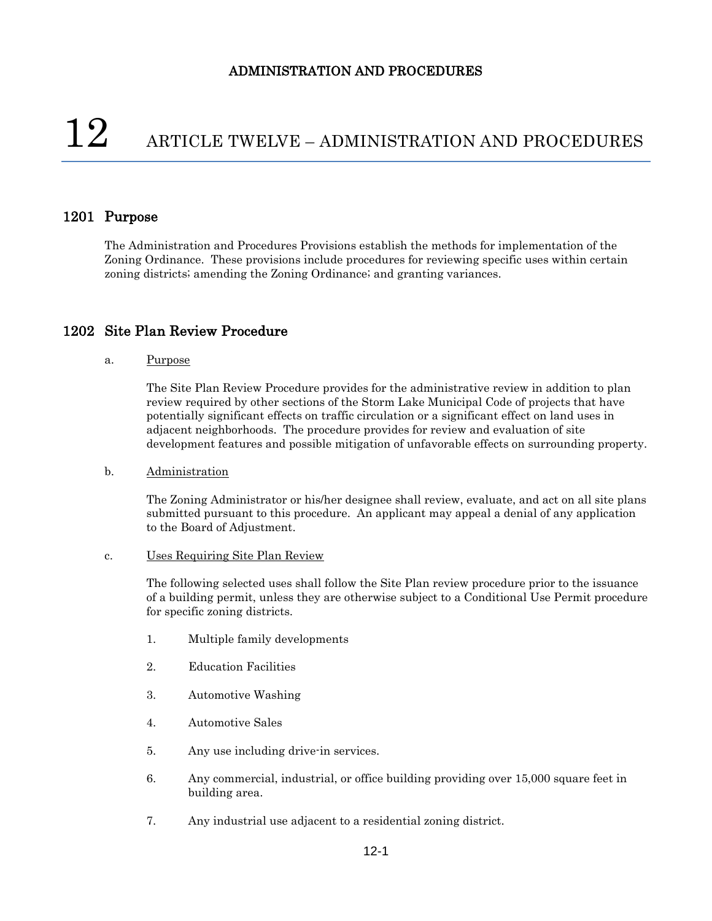# $12$  ARTICLE TWELVE – ADMINISTRATION AND PROCEDURES

## 1201 Purpose

The Administration and Procedures Provisions establish the methods for implementation of the Zoning Ordinance. These provisions include procedures for reviewing specific uses within certain zoning districts; amending the Zoning Ordinance; and granting variances.

## 1202 Site Plan Review Procedure

#### a. Purpose

The Site Plan Review Procedure provides for the administrative review in addition to plan review required by other sections of the Storm Lake Municipal Code of projects that have potentially significant effects on traffic circulation or a significant effect on land uses in adjacent neighborhoods. The procedure provides for review and evaluation of site development features and possible mitigation of unfavorable effects on surrounding property.

#### b. Administration

The Zoning Administrator or his/her designee shall review, evaluate, and act on all site plans submitted pursuant to this procedure. An applicant may appeal a denial of any application to the Board of Adjustment.

#### c. Uses Requiring Site Plan Review

The following selected uses shall follow the Site Plan review procedure prior to the issuance of a building permit, unless they are otherwise subject to a Conditional Use Permit procedure for specific zoning districts.

- 1. Multiple family developments
- 2. Education Facilities
- 3. Automotive Washing
- 4. Automotive Sales
- 5. Any use including drive-in services.
- 6. Any commercial, industrial, or office building providing over 15,000 square feet in building area.
- 7. Any industrial use adjacent to a residential zoning district.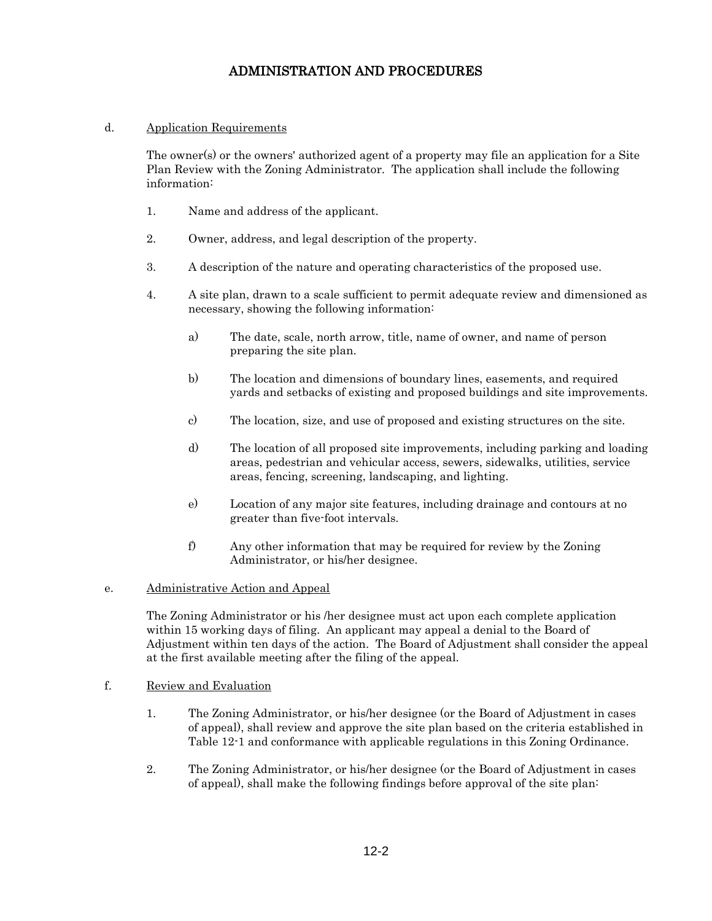## d. Application Requirements

The owner(s) or the owners' authorized agent of a property may file an application for a Site Plan Review with the Zoning Administrator. The application shall include the following information:

- 1. Name and address of the applicant.
- 2. Owner, address, and legal description of the property.
- 3. A description of the nature and operating characteristics of the proposed use.
- 4. A site plan, drawn to a scale sufficient to permit adequate review and dimensioned as necessary, showing the following information:
	- a) The date, scale, north arrow, title, name of owner, and name of person preparing the site plan.
	- b) The location and dimensions of boundary lines, easements, and required yards and setbacks of existing and proposed buildings and site improvements.
	- c) The location, size, and use of proposed and existing structures on the site.
	- d) The location of all proposed site improvements, including parking and loading areas, pedestrian and vehicular access, sewers, sidewalks, utilities, service areas, fencing, screening, landscaping, and lighting.
	- e) Location of any major site features, including drainage and contours at no greater than five-foot intervals.
	- f) Any other information that may be required for review by the Zoning Administrator, or his/her designee.

#### e. Administrative Action and Appeal

The Zoning Administrator or his /her designee must act upon each complete application within 15 working days of filing. An applicant may appeal a denial to the Board of Adjustment within ten days of the action. The Board of Adjustment shall consider the appeal at the first available meeting after the filing of the appeal.

#### f. Review and Evaluation

- 1. The Zoning Administrator, or his/her designee (or the Board of Adjustment in cases of appeal), shall review and approve the site plan based on the criteria established in Table 12-1 and conformance with applicable regulations in this Zoning Ordinance.
- 2. The Zoning Administrator, or his/her designee (or the Board of Adjustment in cases of appeal), shall make the following findings before approval of the site plan: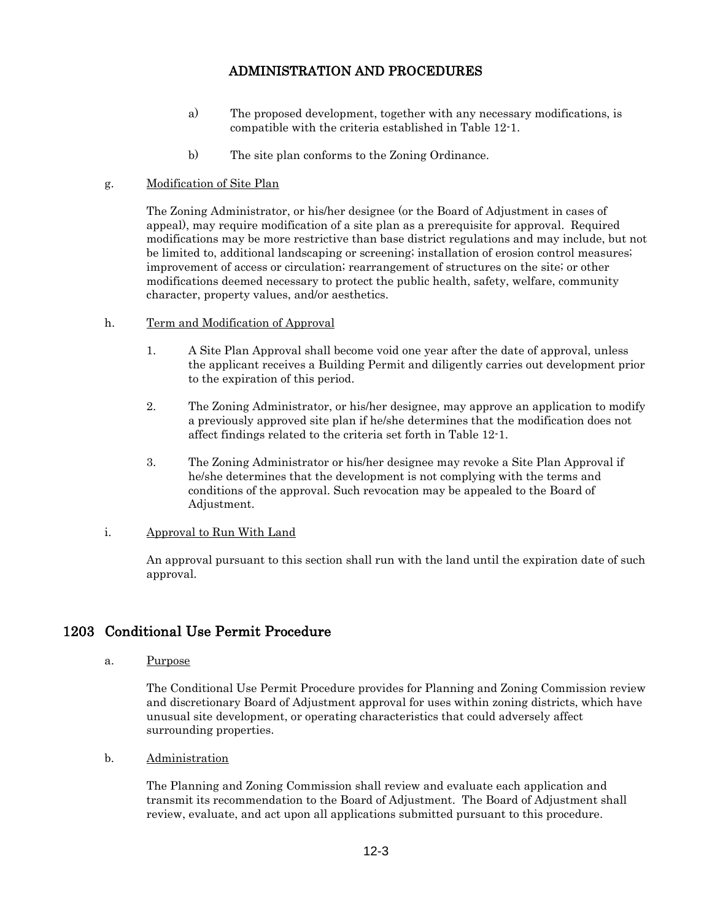- a) The proposed development, together with any necessary modifications, is compatible with the criteria established in Table 12-1.
- b) The site plan conforms to the Zoning Ordinance.

## g. Modification of Site Plan

The Zoning Administrator, or his/her designee (or the Board of Adjustment in cases of appeal), may require modification of a site plan as a prerequisite for approval. Required modifications may be more restrictive than base district regulations and may include, but not be limited to, additional landscaping or screening; installation of erosion control measures; improvement of access or circulation; rearrangement of structures on the site; or other modifications deemed necessary to protect the public health, safety, welfare, community character, property values, and/or aesthetics.

- h. Term and Modification of Approval
	- 1. A Site Plan Approval shall become void one year after the date of approval, unless the applicant receives a Building Permit and diligently carries out development prior to the expiration of this period.
	- 2. The Zoning Administrator, or his/her designee, may approve an application to modify a previously approved site plan if he/she determines that the modification does not affect findings related to the criteria set forth in Table 12-1.
	- 3. The Zoning Administrator or his/her designee may revoke a Site Plan Approval if he/she determines that the development is not complying with the terms and conditions of the approval. Such revocation may be appealed to the Board of Adjustment.

## i. Approval to Run With Land

An approval pursuant to this section shall run with the land until the expiration date of such approval.

# 1203 Conditional Use Permit Procedure

a. Purpose

The Conditional Use Permit Procedure provides for Planning and Zoning Commission review and discretionary Board of Adjustment approval for uses within zoning districts, which have unusual site development, or operating characteristics that could adversely affect surrounding properties.

b. Administration

The Planning and Zoning Commission shall review and evaluate each application and transmit its recommendation to the Board of Adjustment. The Board of Adjustment shall review, evaluate, and act upon all applications submitted pursuant to this procedure.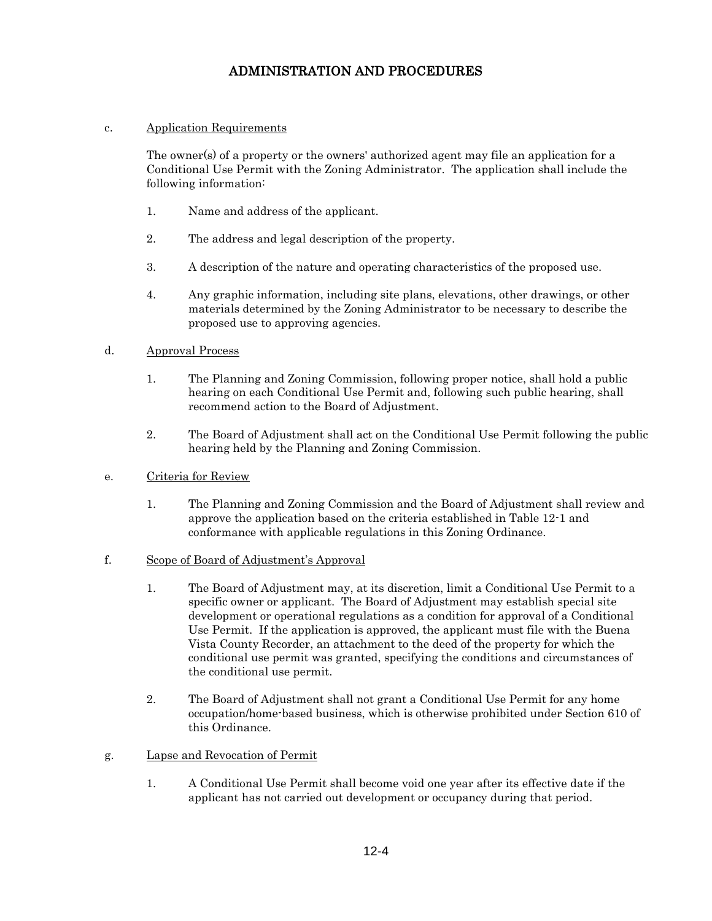## c. Application Requirements

The owner(s) of a property or the owners' authorized agent may file an application for a Conditional Use Permit with the Zoning Administrator. The application shall include the following information:

- 1. Name and address of the applicant.
- 2. The address and legal description of the property.
- 3. A description of the nature and operating characteristics of the proposed use.
- 4. Any graphic information, including site plans, elevations, other drawings, or other materials determined by the Zoning Administrator to be necessary to describe the proposed use to approving agencies.

## d. Approval Process

- 1. The Planning and Zoning Commission, following proper notice, shall hold a public hearing on each Conditional Use Permit and, following such public hearing, shall recommend action to the Board of Adjustment.
- 2. The Board of Adjustment shall act on the Conditional Use Permit following the public hearing held by the Planning and Zoning Commission.

## e. Criteria for Review

- 1. The Planning and Zoning Commission and the Board of Adjustment shall review and approve the application based on the criteria established in Table 12-1 and conformance with applicable regulations in this Zoning Ordinance.
- f. Scope of Board of Adjustment's Approval
	- 1. The Board of Adjustment may, at its discretion, limit a Conditional Use Permit to a specific owner or applicant. The Board of Adjustment may establish special site development or operational regulations as a condition for approval of a Conditional Use Permit. If the application is approved, the applicant must file with the Buena Vista County Recorder, an attachment to the deed of the property for which the conditional use permit was granted, specifying the conditions and circumstances of the conditional use permit.
	- 2. The Board of Adjustment shall not grant a Conditional Use Permit for any home occupation/home-based business, which is otherwise prohibited under Section 610 of this Ordinance.
- g. Lapse and Revocation of Permit
	- 1. A Conditional Use Permit shall become void one year after its effective date if the applicant has not carried out development or occupancy during that period.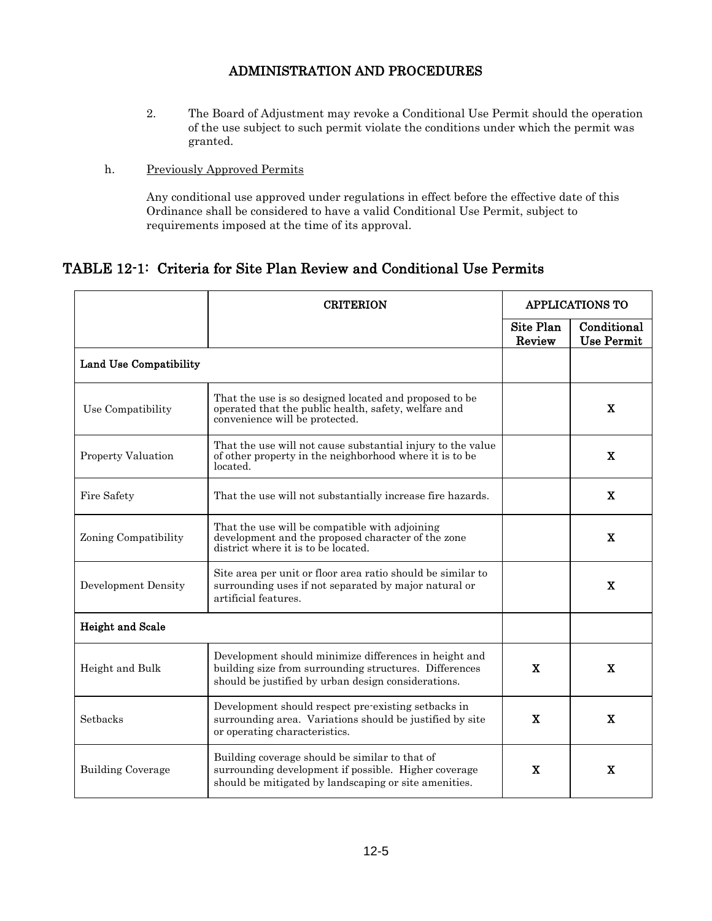- 2. The Board of Adjustment may revoke a Conditional Use Permit should the operation of the use subject to such permit violate the conditions under which the permit was granted.
- h. Previously Approved Permits

Any conditional use approved under regulations in effect before the effective date of this Ordinance shall be considered to have a valid Conditional Use Permit, subject to requirements imposed at the time of its approval.

# TABLE 12-1: Criteria for Site Plan Review and Conditional Use Permits

|                               | <b>CRITERION</b>                                                                                                                                                       | <b>APPLICATIONS TO</b> |                                  |
|-------------------------------|------------------------------------------------------------------------------------------------------------------------------------------------------------------------|------------------------|----------------------------------|
|                               |                                                                                                                                                                        | Site Plan<br>Review    | Conditional<br><b>Use Permit</b> |
| <b>Land Use Compatibility</b> |                                                                                                                                                                        |                        |                                  |
| Use Compatibility             | That the use is so designed located and proposed to be<br>operated that the public health, safety, welfare and<br>convenience will be protected.                       |                        | X                                |
| <b>Property Valuation</b>     | That the use will not cause substantial injury to the value<br>of other property in the neighborhood where it is to be<br>located.                                     |                        | X                                |
| Fire Safety                   | That the use will not substantially increase fire hazards.                                                                                                             |                        | X                                |
| Zoning Compatibility          | That the use will be compatible with adjoining<br>development and the proposed character of the zone<br>district where it is to be located.                            |                        | X                                |
| Development Density           | Site area per unit or floor area ratio should be similar to<br>surrounding uses if not separated by major natural or<br>artificial features.                           |                        | X                                |
| <b>Height and Scale</b>       |                                                                                                                                                                        |                        |                                  |
| Height and Bulk               | Development should minimize differences in height and<br>building size from surrounding structures. Differences<br>should be justified by urban design considerations. | $\mathbf{X}$           | $\mathbf X$                      |
| Setbacks                      | Development should respect pre-existing setbacks in<br>surrounding area. Variations should be justified by site<br>or operating characteristics.                       | X                      | X                                |
| <b>Building Coverage</b>      | Building coverage should be similar to that of<br>surrounding development if possible. Higher coverage<br>should be mitigated by landscaping or site amenities.        | X                      | X                                |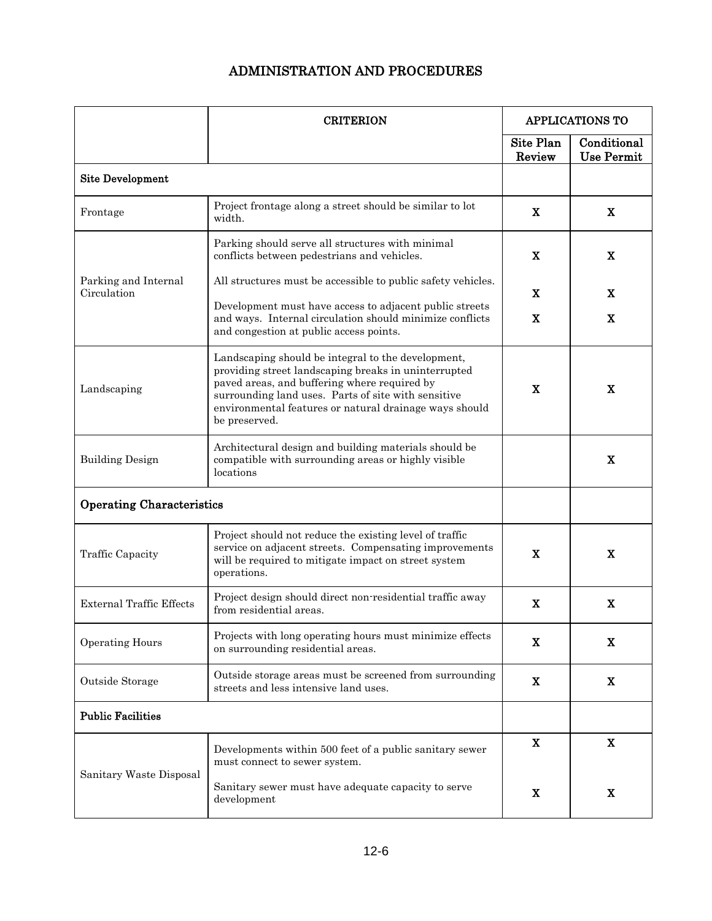|                                     | <b>CRITERION</b>                                                                                                                                                                                                                                                                             | <b>APPLICATIONS TO</b> |                                  |
|-------------------------------------|----------------------------------------------------------------------------------------------------------------------------------------------------------------------------------------------------------------------------------------------------------------------------------------------|------------------------|----------------------------------|
|                                     |                                                                                                                                                                                                                                                                                              | Site Plan<br>Review    | Conditional<br><b>Use Permit</b> |
| <b>Site Development</b>             |                                                                                                                                                                                                                                                                                              |                        |                                  |
| Frontage                            | Project frontage along a street should be similar to lot<br>width.                                                                                                                                                                                                                           | X                      | $\mathbf x$                      |
| Parking and Internal<br>Circulation | Parking should serve all structures with minimal<br>conflicts between pedestrians and vehicles.                                                                                                                                                                                              | X                      | $\mathbf X$                      |
|                                     | All structures must be accessible to public safety vehicles.                                                                                                                                                                                                                                 | X                      | x                                |
|                                     | Development must have access to adjacent public streets<br>and ways. Internal circulation should minimize conflicts<br>and congestion at public access points.                                                                                                                               | X                      | X                                |
| Landscaping                         | Landscaping should be integral to the development,<br>providing street landscaping breaks in uninterrupted<br>paved areas, and buffering where required by<br>surrounding land uses. Parts of site with sensitive<br>environmental features or natural drainage ways should<br>be preserved. | X                      | $\mathbf X$                      |
| <b>Building Design</b>              | Architectural design and building materials should be<br>compatible with surrounding areas or highly visible<br>locations                                                                                                                                                                    |                        | $\mathbf X$                      |
| <b>Operating Characteristics</b>    |                                                                                                                                                                                                                                                                                              |                        |                                  |
| Traffic Capacity                    | Project should not reduce the existing level of traffic<br>service on adjacent streets. Compensating improvements<br>will be required to mitigate impact on street system<br>operations.                                                                                                     | X                      | $\mathbf X$                      |
| <b>External Traffic Effects</b>     | Project design should direct non-residential traffic away<br>from residential areas.                                                                                                                                                                                                         | X                      | X                                |
| <b>Operating Hours</b>              | Projects with long operating hours must minimize effects<br>on surrounding residential areas.                                                                                                                                                                                                | X                      | X                                |
| Outside Storage                     | Outside storage areas must be screened from surrounding<br>streets and less intensive land uses.                                                                                                                                                                                             | x                      | X                                |
| <b>Public Facilities</b>            |                                                                                                                                                                                                                                                                                              |                        |                                  |
| Sanitary Waste Disposal             | Developments within 500 feet of a public sanitary sewer<br>must connect to sewer system.                                                                                                                                                                                                     | X                      | X                                |
|                                     | Sanitary sewer must have adequate capacity to serve<br>development                                                                                                                                                                                                                           | $\mathbf X$            | X                                |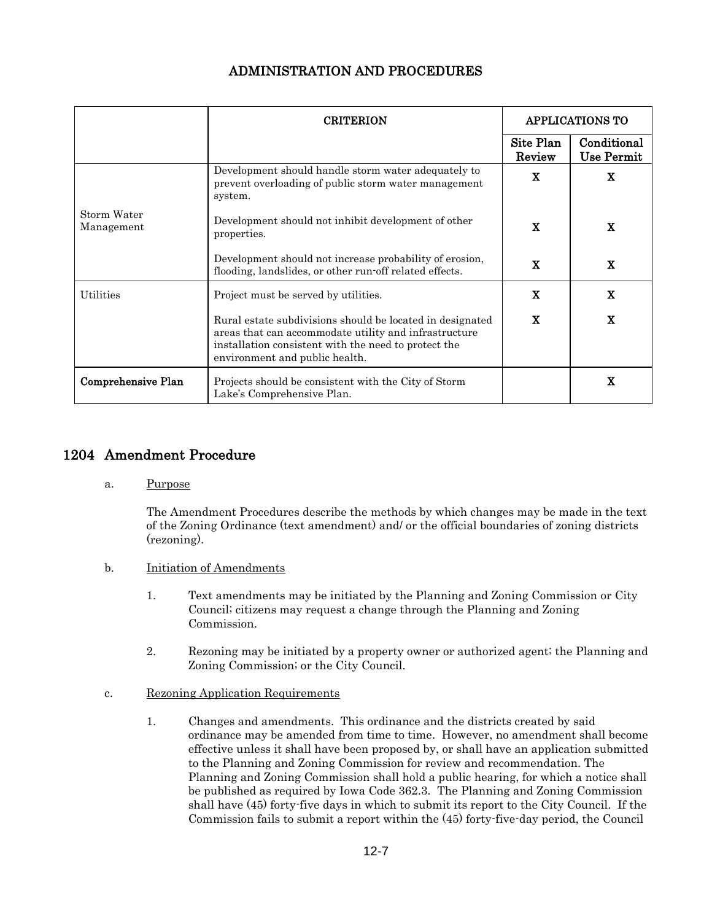|                           | <b>CRITERION</b>                                                                                                                                                                                             | <b>APPLICATIONS TO</b> |                           |
|---------------------------|--------------------------------------------------------------------------------------------------------------------------------------------------------------------------------------------------------------|------------------------|---------------------------|
|                           |                                                                                                                                                                                                              | Site Plan<br>Review    | Conditional<br>Use Permit |
| Storm Water<br>Management | Development should handle storm water adequately to<br>prevent overloading of public storm water management<br>system.                                                                                       | X                      | X                         |
|                           | Development should not inhibit development of other<br>properties.                                                                                                                                           | X                      | X                         |
|                           | Development should not increase probability of erosion,<br>flooding, landslides, or other run-off related effects.                                                                                           | X                      | $\mathbf{X}$              |
| Utilities                 | Project must be served by utilities.                                                                                                                                                                         | $\mathbf x$            | X                         |
|                           | Rural estate subdivisions should be located in designated<br>areas that can accommodate utility and infrastructure<br>installation consistent with the need to protect the<br>environment and public health. | X                      | X                         |
| <b>Comprehensive Plan</b> | Projects should be consistent with the City of Storm<br>Lake's Comprehensive Plan.                                                                                                                           |                        | x                         |

# 1204 Amendment Procedure

a. Purpose

The Amendment Procedures describe the methods by which changes may be made in the text of the Zoning Ordinance (text amendment) and/ or the official boundaries of zoning districts (rezoning).

- b. **Initiation of Amendments** 
	- 1. Text amendments may be initiated by the Planning and Zoning Commission or City Council; citizens may request a change through the Planning and Zoning Commission.
	- 2. Rezoning may be initiated by a property owner or authorized agent; the Planning and Zoning Commission; or the City Council.
- c. Rezoning Application Requirements
	- 1. Changes and amendments. This ordinance and the districts created by said ordinance may be amended from time to time. However, no amendment shall become effective unless it shall have been proposed by, or shall have an application submitted to the Planning and Zoning Commission for review and recommendation. The Planning and Zoning Commission shall hold a public hearing, for which a notice shall be published as required by Iowa Code 362.3. The Planning and Zoning Commission shall have (45) forty-five days in which to submit its report to the City Council. If the Commission fails to submit a report within the (45) forty-five-day period, the Council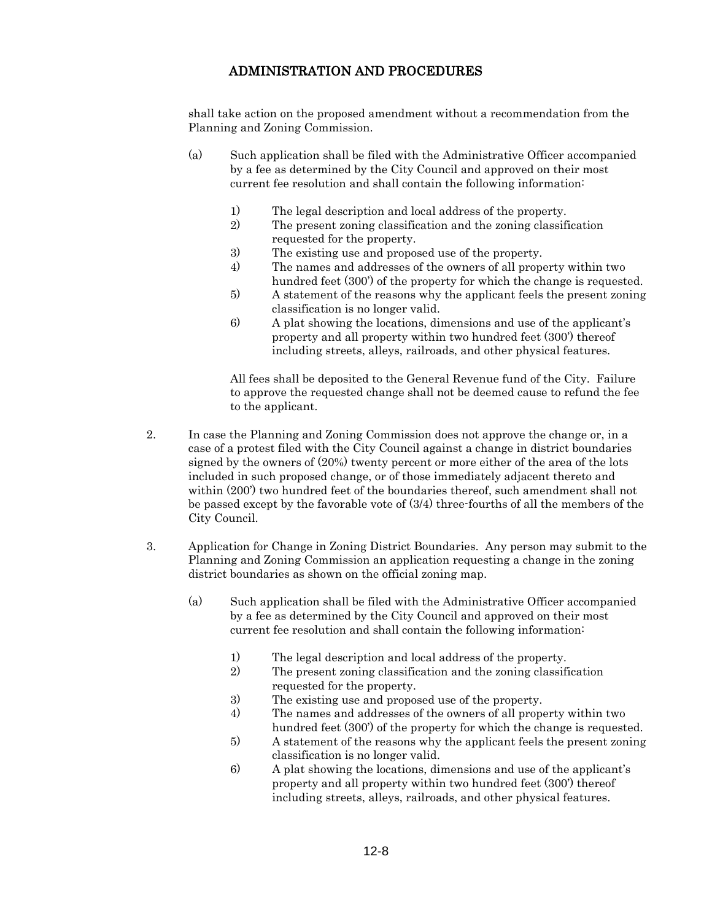shall take action on the proposed amendment without a recommendation from the Planning and Zoning Commission.

- (a) Such application shall be filed with the Administrative Officer accompanied by a fee as determined by the City Council and approved on their most current fee resolution and shall contain the following information:
	- 1) The legal description and local address of the property.
	- 2) The present zoning classification and the zoning classification requested for the property.
	- 3) The existing use and proposed use of the property.
	- 4) The names and addresses of the owners of all property within two hundred feet (300') of the property for which the change is requested.
	- 5) A statement of the reasons why the applicant feels the present zoning classification is no longer valid.
	- 6) A plat showing the locations, dimensions and use of the applicant's property and all property within two hundred feet (300') thereof including streets, alleys, railroads, and other physical features.

All fees shall be deposited to the General Revenue fund of the City. Failure to approve the requested change shall not be deemed cause to refund the fee to the applicant.

- 2. In case the Planning and Zoning Commission does not approve the change or, in a case of a protest filed with the City Council against a change in district boundaries signed by the owners of (20%) twenty percent or more either of the area of the lots included in such proposed change, or of those immediately adjacent thereto and within  $(200')$  two hundred feet of the boundaries thereof, such amendment shall not be passed except by the favorable vote of (3/4) three-fourths of all the members of the City Council.
- 3. Application for Change in Zoning District Boundaries. Any person may submit to the Planning and Zoning Commission an application requesting a change in the zoning district boundaries as shown on the official zoning map.
	- (a) Such application shall be filed with the Administrative Officer accompanied by a fee as determined by the City Council and approved on their most current fee resolution and shall contain the following information:
		- 1) The legal description and local address of the property.
		- 2) The present zoning classification and the zoning classification requested for the property.
		- 3) The existing use and proposed use of the property.
		- 4) The names and addresses of the owners of all property within two hundred feet (300') of the property for which the change is requested.
		- 5) A statement of the reasons why the applicant feels the present zoning classification is no longer valid.
		- 6) A plat showing the locations, dimensions and use of the applicant's property and all property within two hundred feet (300') thereof including streets, alleys, railroads, and other physical features.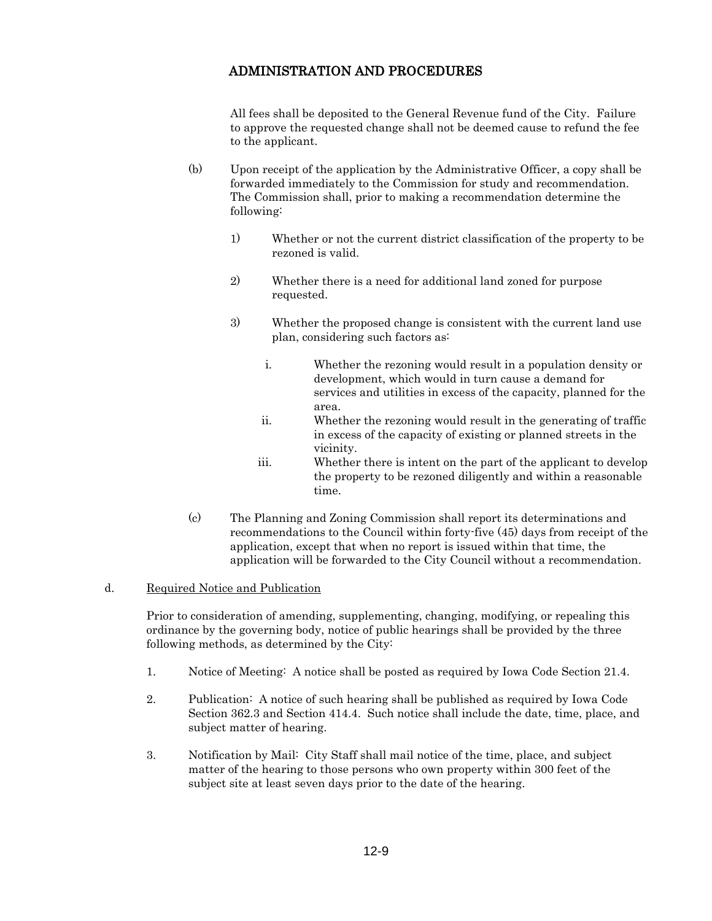All fees shall be deposited to the General Revenue fund of the City. Failure to approve the requested change shall not be deemed cause to refund the fee to the applicant.

- (b) Upon receipt of the application by the Administrative Officer, a copy shall be forwarded immediately to the Commission for study and recommendation. The Commission shall, prior to making a recommendation determine the following:
	- 1) Whether or not the current district classification of the property to be rezoned is valid.
	- 2) Whether there is a need for additional land zoned for purpose requested.
	- 3) Whether the proposed change is consistent with the current land use plan, considering such factors as:
		- i. Whether the rezoning would result in a population density or development, which would in turn cause a demand for services and utilities in excess of the capacity, planned for the area.
		- ii. Whether the rezoning would result in the generating of traffic in excess of the capacity of existing or planned streets in the vicinity.
		- iii. Whether there is intent on the part of the applicant to develop the property to be rezoned diligently and within a reasonable time.
- (c) The Planning and Zoning Commission shall report its determinations and recommendations to the Council within forty-five (45) days from receipt of the application, except that when no report is issued within that time, the application will be forwarded to the City Council without a recommendation.

## d. Required Notice and Publication

Prior to consideration of amending, supplementing, changing, modifying, or repealing this ordinance by the governing body, notice of public hearings shall be provided by the three following methods, as determined by the City:

- 1. Notice of Meeting: A notice shall be posted as required by Iowa Code Section 21.4.
- 2. Publication: A notice of such hearing shall be published as required by Iowa Code Section 362.3 and Section 414.4. Such notice shall include the date, time, place, and subject matter of hearing.
- 3. Notification by Mail: City Staff shall mail notice of the time, place, and subject matter of the hearing to those persons who own property within 300 feet of the subject site at least seven days prior to the date of the hearing.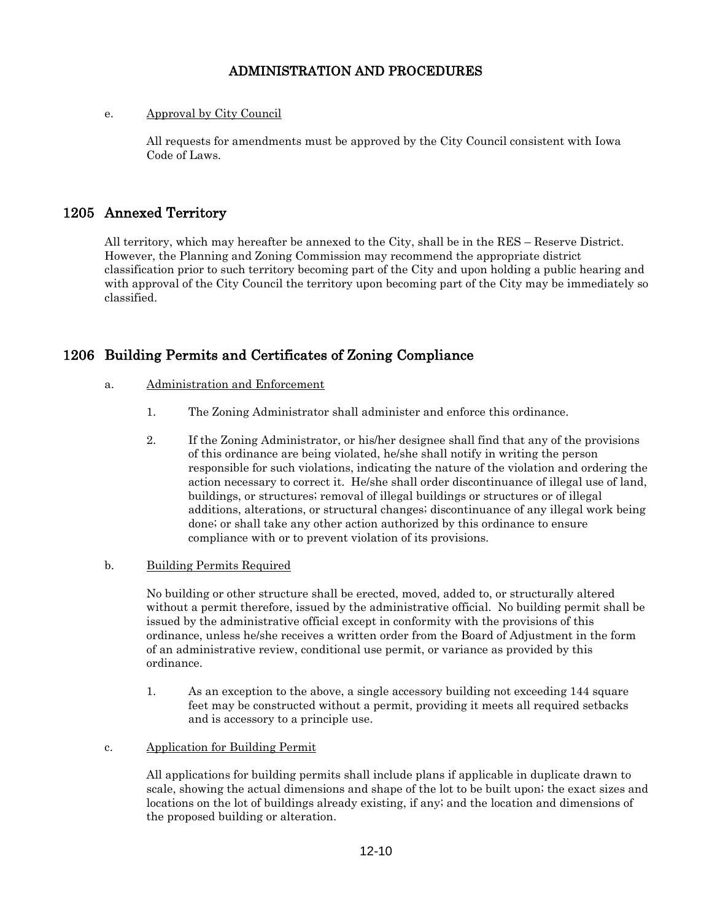## e. Approval by City Council

All requests for amendments must be approved by the City Council consistent with Iowa Code of Laws.

# 1205 Annexed Territory

All territory, which may hereafter be annexed to the City, shall be in the RES – Reserve District. However, the Planning and Zoning Commission may recommend the appropriate district classification prior to such territory becoming part of the City and upon holding a public hearing and with approval of the City Council the territory upon becoming part of the City may be immediately so classified.

# 1206 Building Permits and Certificates of Zoning Compliance

## a. Administration and Enforcement

- 1. The Zoning Administrator shall administer and enforce this ordinance.
- 2. If the Zoning Administrator, or his/her designee shall find that any of the provisions of this ordinance are being violated, he/she shall notify in writing the person responsible for such violations, indicating the nature of the violation and ordering the action necessary to correct it. He/she shall order discontinuance of illegal use of land, buildings, or structures; removal of illegal buildings or structures or of illegal additions, alterations, or structural changes; discontinuance of any illegal work being done; or shall take any other action authorized by this ordinance to ensure compliance with or to prevent violation of its provisions.

## b. Building Permits Required

No building or other structure shall be erected, moved, added to, or structurally altered without a permit therefore, issued by the administrative official. No building permit shall be issued by the administrative official except in conformity with the provisions of this ordinance, unless he/she receives a written order from the Board of Adjustment in the form of an administrative review, conditional use permit, or variance as provided by this ordinance.

1. As an exception to the above, a single accessory building not exceeding 144 square feet may be constructed without a permit, providing it meets all required setbacks and is accessory to a principle use.

#### c. Application for Building Permit

All applications for building permits shall include plans if applicable in duplicate drawn to scale, showing the actual dimensions and shape of the lot to be built upon; the exact sizes and locations on the lot of buildings already existing, if any; and the location and dimensions of the proposed building or alteration.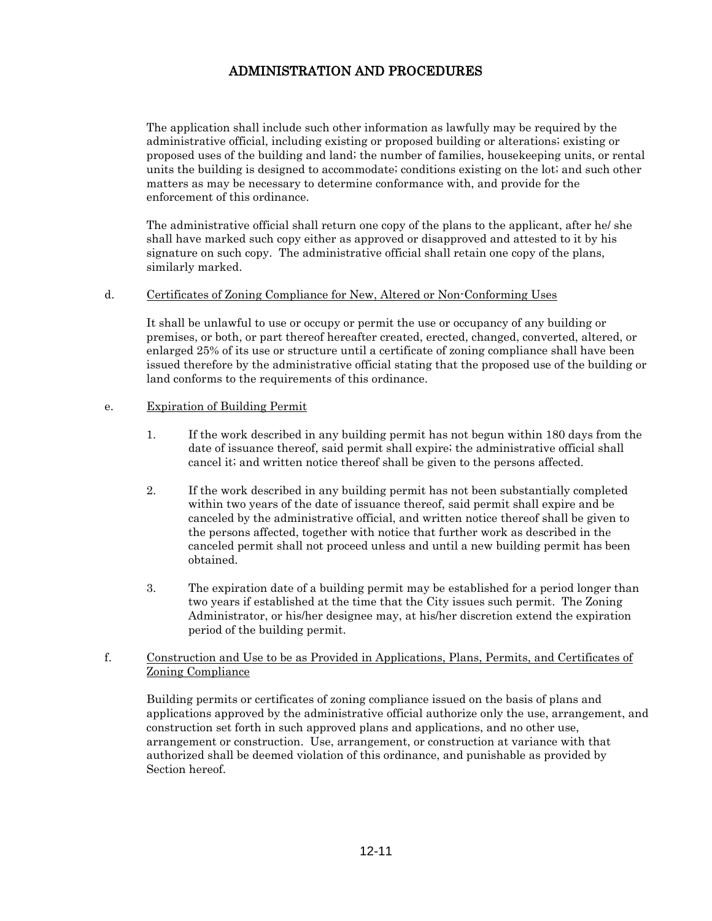The application shall include such other information as lawfully may be required by the administrative official, including existing or proposed building or alterations; existing or proposed uses of the building and land; the number of families, housekeeping units, or rental units the building is designed to accommodate; conditions existing on the lot; and such other matters as may be necessary to determine conformance with, and provide for the enforcement of this ordinance.

The administrative official shall return one copy of the plans to the applicant, after he/ she shall have marked such copy either as approved or disapproved and attested to it by his signature on such copy. The administrative official shall retain one copy of the plans, similarly marked.

#### d. Certificates of Zoning Compliance for New, Altered or Non-Conforming Uses

It shall be unlawful to use or occupy or permit the use or occupancy of any building or premises, or both, or part thereof hereafter created, erected, changed, converted, altered, or enlarged 25% of its use or structure until a certificate of zoning compliance shall have been issued therefore by the administrative official stating that the proposed use of the building or land conforms to the requirements of this ordinance.

#### e. Expiration of Building Permit

- 1. If the work described in any building permit has not begun within 180 days from the date of issuance thereof, said permit shall expire; the administrative official shall cancel it; and written notice thereof shall be given to the persons affected.
- 2. If the work described in any building permit has not been substantially completed within two years of the date of issuance thereof, said permit shall expire and be canceled by the administrative official, and written notice thereof shall be given to the persons affected, together with notice that further work as described in the canceled permit shall not proceed unless and until a new building permit has been obtained.
- 3. The expiration date of a building permit may be established for a period longer than two years if established at the time that the City issues such permit. The Zoning Administrator, or his/her designee may, at his/her discretion extend the expiration period of the building permit.

## f. Construction and Use to be as Provided in Applications, Plans, Permits, and Certificates of Zoning Compliance

Building permits or certificates of zoning compliance issued on the basis of plans and applications approved by the administrative official authorize only the use, arrangement, and construction set forth in such approved plans and applications, and no other use, arrangement or construction. Use, arrangement, or construction at variance with that authorized shall be deemed violation of this ordinance, and punishable as provided by Section hereof.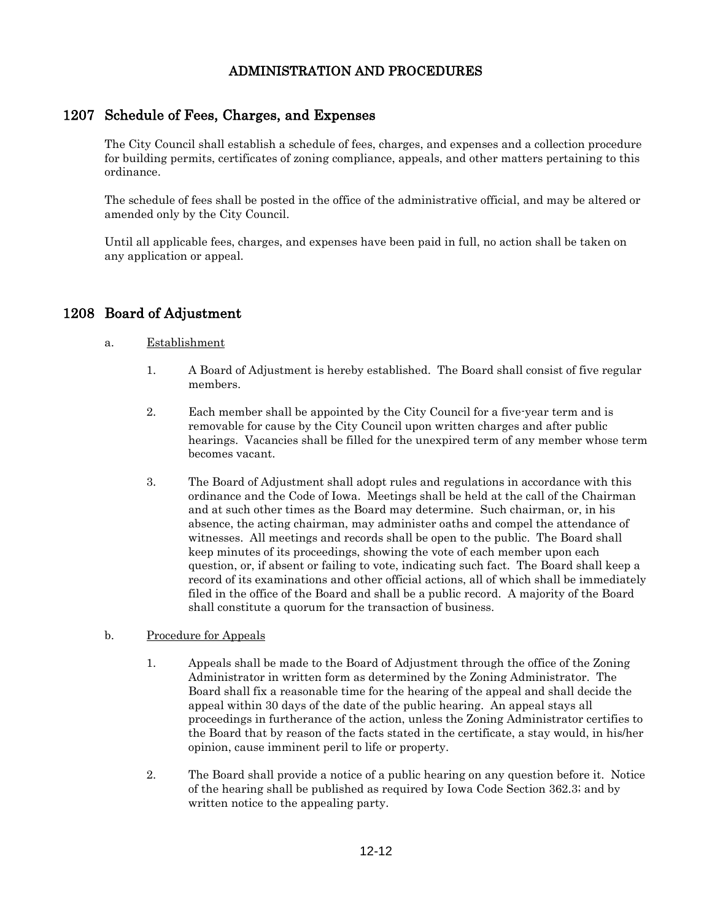# 1207 Schedule of Fees, Charges, and Expenses

The City Council shall establish a schedule of fees, charges, and expenses and a collection procedure for building permits, certificates of zoning compliance, appeals, and other matters pertaining to this ordinance.

The schedule of fees shall be posted in the office of the administrative official, and may be altered or amended only by the City Council.

Until all applicable fees, charges, and expenses have been paid in full, no action shall be taken on any application or appeal.

# 1208 Board of Adjustment

## a. Establishment

- 1. A Board of Adjustment is hereby established. The Board shall consist of five regular members.
- 2. Each member shall be appointed by the City Council for a five-year term and is removable for cause by the City Council upon written charges and after public hearings. Vacancies shall be filled for the unexpired term of any member whose term becomes vacant.
- 3. The Board of Adjustment shall adopt rules and regulations in accordance with this ordinance and the Code of Iowa. Meetings shall be held at the call of the Chairman and at such other times as the Board may determine. Such chairman, or, in his absence, the acting chairman, may administer oaths and compel the attendance of witnesses. All meetings and records shall be open to the public. The Board shall keep minutes of its proceedings, showing the vote of each member upon each question, or, if absent or failing to vote, indicating such fact. The Board shall keep a record of its examinations and other official actions, all of which shall be immediately filed in the office of the Board and shall be a public record. A majority of the Board shall constitute a quorum for the transaction of business.
- b. Procedure for Appeals
	- 1. Appeals shall be made to the Board of Adjustment through the office of the Zoning Administrator in written form as determined by the Zoning Administrator. The Board shall fix a reasonable time for the hearing of the appeal and shall decide the appeal within 30 days of the date of the public hearing. An appeal stays all proceedings in furtherance of the action, unless the Zoning Administrator certifies to the Board that by reason of the facts stated in the certificate, a stay would, in his/her opinion, cause imminent peril to life or property.
	- 2. The Board shall provide a notice of a public hearing on any question before it. Notice of the hearing shall be published as required by Iowa Code Section 362.3; and by written notice to the appealing party.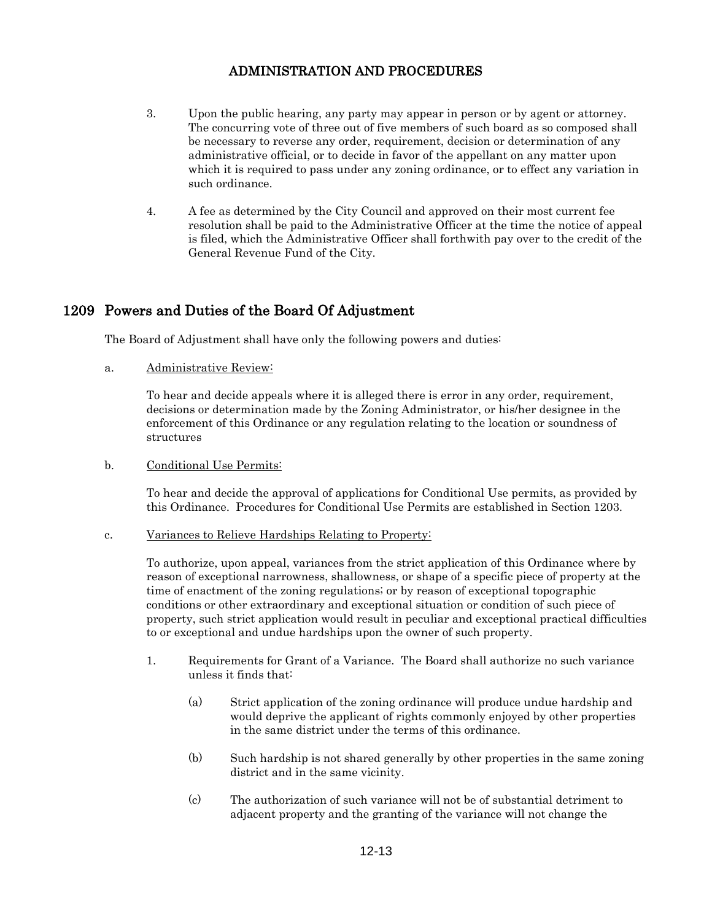- 3. Upon the public hearing, any party may appear in person or by agent or attorney. The concurring vote of three out of five members of such board as so composed shall be necessary to reverse any order, requirement, decision or determination of any administrative official, or to decide in favor of the appellant on any matter upon which it is required to pass under any zoning ordinance, or to effect any variation in such ordinance.
- 4. A fee as determined by the City Council and approved on their most current fee resolution shall be paid to the Administrative Officer at the time the notice of appeal is filed, which the Administrative Officer shall forthwith pay over to the credit of the General Revenue Fund of the City.

# 1209 Powers and Duties of the Board Of Adjustment

The Board of Adjustment shall have only the following powers and duties:

a. Administrative Review:

To hear and decide appeals where it is alleged there is error in any order, requirement, decisions or determination made by the Zoning Administrator, or his/her designee in the enforcement of this Ordinance or any regulation relating to the location or soundness of structures

b. Conditional Use Permits:

To hear and decide the approval of applications for Conditional Use permits, as provided by this Ordinance. Procedures for Conditional Use Permits are established in Section 1203.

c. Variances to Relieve Hardships Relating to Property:

To authorize, upon appeal, variances from the strict application of this Ordinance where by reason of exceptional narrowness, shallowness, or shape of a specific piece of property at the time of enactment of the zoning regulations; or by reason of exceptional topographic conditions or other extraordinary and exceptional situation or condition of such piece of property, such strict application would result in peculiar and exceptional practical difficulties to or exceptional and undue hardships upon the owner of such property.

- 1. Requirements for Grant of a Variance. The Board shall authorize no such variance unless it finds that:
	- (a) Strict application of the zoning ordinance will produce undue hardship and would deprive the applicant of rights commonly enjoyed by other properties in the same district under the terms of this ordinance.
	- (b) Such hardship is not shared generally by other properties in the same zoning district and in the same vicinity.
	- (c) The authorization of such variance will not be of substantial detriment to adjacent property and the granting of the variance will not change the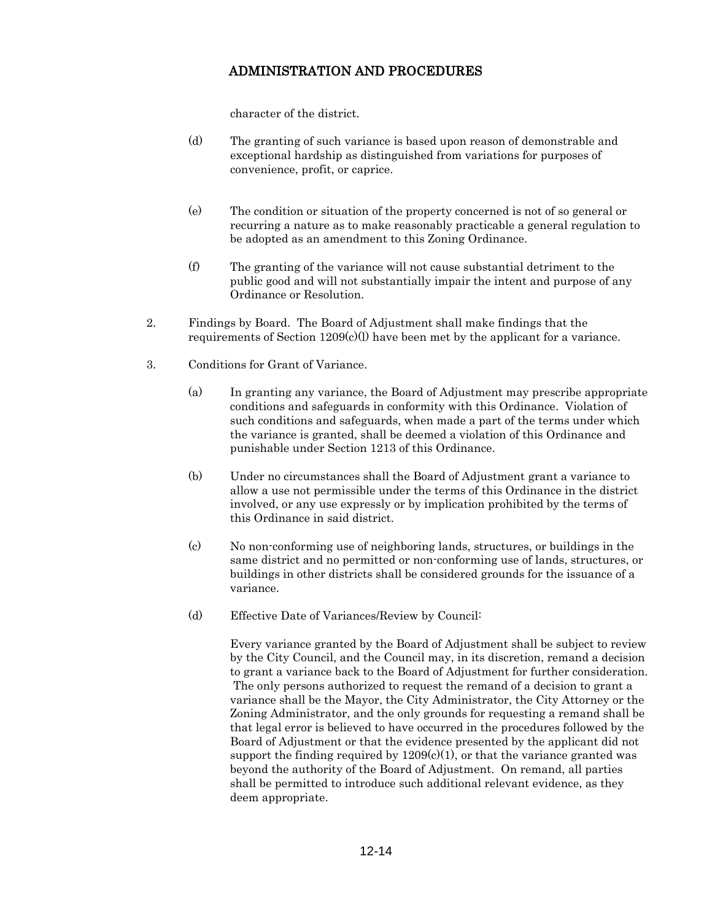character of the district.

- (d) The granting of such variance is based upon reason of demonstrable and exceptional hardship as distinguished from variations for purposes of convenience, profit, or caprice.
- (e) The condition or situation of the property concerned is not of so general or recurring a nature as to make reasonably practicable a general regulation to be adopted as an amendment to this Zoning Ordinance.
- (f) The granting of the variance will not cause substantial detriment to the public good and will not substantially impair the intent and purpose of any Ordinance or Resolution.
- 2. Findings by Board. The Board of Adjustment shall make findings that the requirements of Section  $1209(c)(l)$  have been met by the applicant for a variance.
- 3. Conditions for Grant of Variance.
	- (a) In granting any variance, the Board of Adjustment may prescribe appropriate conditions and safeguards in conformity with this Ordinance. Violation of such conditions and safeguards, when made a part of the terms under which the variance is granted, shall be deemed a violation of this Ordinance and punishable under Section 1213 of this Ordinance.
	- (b) Under no circumstances shall the Board of Adjustment grant a variance to allow a use not permissible under the terms of this Ordinance in the district involved, or any use expressly or by implication prohibited by the terms of this Ordinance in said district.
	- (c) No non-conforming use of neighboring lands, structures, or buildings in the same district and no permitted or non-conforming use of lands, structures, or buildings in other districts shall be considered grounds for the issuance of a variance.
	- (d) Effective Date of Variances/Review by Council:

Every variance granted by the Board of Adjustment shall be subject to review by the City Council, and the Council may, in its discretion, remand a decision to grant a variance back to the Board of Adjustment for further consideration. The only persons authorized to request the remand of a decision to grant a variance shall be the Mayor, the City Administrator, the City Attorney or the Zoning Administrator, and the only grounds for requesting a remand shall be that legal error is believed to have occurred in the procedures followed by the Board of Adjustment or that the evidence presented by the applicant did not support the finding required by  $1209(c)(1)$ , or that the variance granted was beyond the authority of the Board of Adjustment. On remand, all parties shall be permitted to introduce such additional relevant evidence, as they deem appropriate.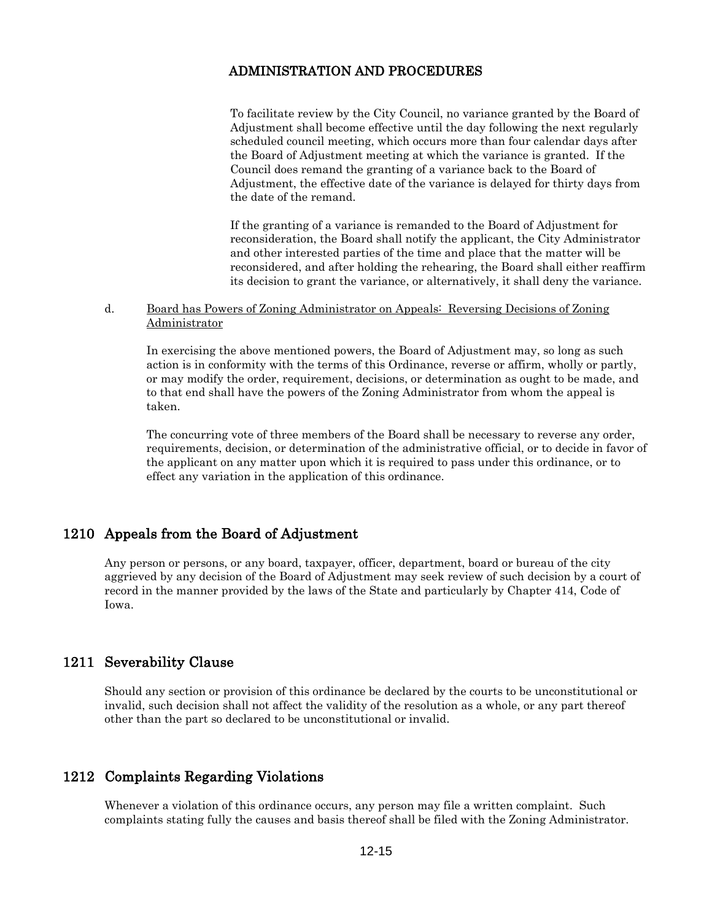To facilitate review by the City Council, no variance granted by the Board of Adjustment shall become effective until the day following the next regularly scheduled council meeting, which occurs more than four calendar days after the Board of Adjustment meeting at which the variance is granted. If the Council does remand the granting of a variance back to the Board of Adjustment, the effective date of the variance is delayed for thirty days from the date of the remand.

If the granting of a variance is remanded to the Board of Adjustment for reconsideration, the Board shall notify the applicant, the City Administrator and other interested parties of the time and place that the matter will be reconsidered, and after holding the rehearing, the Board shall either reaffirm its decision to grant the variance, or alternatively, it shall deny the variance.

#### d. Board has Powers of Zoning Administrator on Appeals: Reversing Decisions of Zoning Administrator

In exercising the above mentioned powers, the Board of Adjustment may, so long as such action is in conformity with the terms of this Ordinance, reverse or affirm, wholly or partly, or may modify the order, requirement, decisions, or determination as ought to be made, and to that end shall have the powers of the Zoning Administrator from whom the appeal is taken.

The concurring vote of three members of the Board shall be necessary to reverse any order, requirements, decision, or determination of the administrative official, or to decide in favor of the applicant on any matter upon which it is required to pass under this ordinance, or to effect any variation in the application of this ordinance.

## 1210 Appeals from the Board of Adjustment

Any person or persons, or any board, taxpayer, officer, department, board or bureau of the city aggrieved by any decision of the Board of Adjustment may seek review of such decision by a court of record in the manner provided by the laws of the State and particularly by Chapter 414, Code of Iowa.

## 1211 Severability Clause

Should any section or provision of this ordinance be declared by the courts to be unconstitutional or invalid, such decision shall not affect the validity of the resolution as a whole, or any part thereof other than the part so declared to be unconstitutional or invalid.

## 1212 Complaints Regarding Violations

Whenever a violation of this ordinance occurs, any person may file a written complaint. Such complaints stating fully the causes and basis thereof shall be filed with the Zoning Administrator.